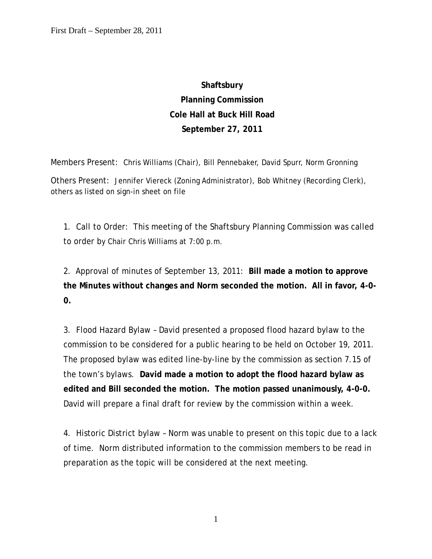## **Shaftsbury Planning Commission Cole Hall at Buck Hill Road September 27, 2011**

Members Present: Chris Williams (Chair), Bill Pennebaker, David Spurr, Norm Gronning

Others Present: Jennifer Viereck (Zoning Administrator), Bob Whitney (Recording Clerk), others as listed on sign-in sheet on file

1. Call to Order: This meeting of the Shaftsbury Planning Commission was called to order by Chair Chris Williams at 7:00 p.m.

2. Approval of minutes of September 13, 2011: **Bill made a motion to approve the Minutes without changes and Norm seconded the motion. All in favor, 4-0- 0.**

3. Flood Hazard Bylaw – David presented a proposed flood hazard bylaw to the commission to be considered for a public hearing to be held on October 19, 2011. The proposed bylaw was edited line-by-line by the commission as section 7.15 of the town's bylaws. **David made a motion to adopt the flood hazard bylaw as edited and Bill seconded the motion. The motion passed unanimously, 4-0-0.**  David will prepare a final draft for review by the commission within a week.

4. Historic District bylaw – Norm was unable to present on this topic due to a lack of time. Norm distributed information to the commission members to be read in preparation as the topic will be considered at the next meeting.

1